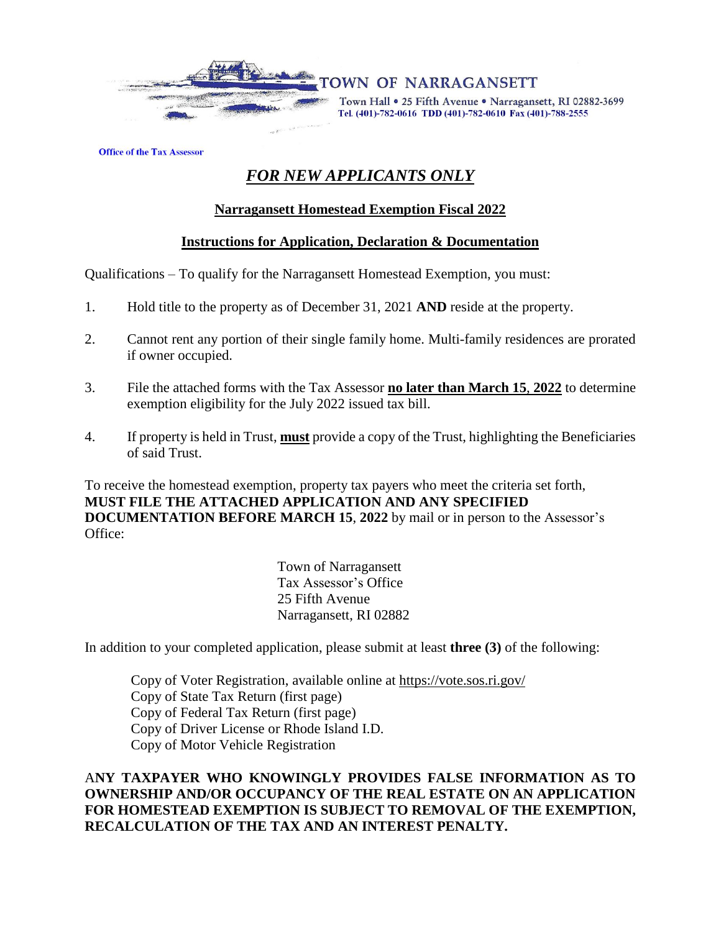

Town Hall . 25 Fifth Avenue . Narragansett, RI 02882-3699 Tel. (401)-782-0616 TDD (401)-782-0610 Fax (401)-788-2555

**Office of the Tax Assessor** 

# *FOR NEW APPLICANTS ONLY*

# **Narragansett Homestead Exemption Fiscal 2022**

# **Instructions for Application, Declaration & Documentation**

Qualifications – To qualify for the Narragansett Homestead Exemption, you must:

- 1. Hold title to the property as of December 31, 2021 **AND** reside at the property.
- 2. Cannot rent any portion of their single family home. Multi-family residences are prorated if owner occupied.
- 3. File the attached forms with the Tax Assessor **no later than March 15**, **2022** to determine exemption eligibility for the July 2022 issued tax bill.
- 4. If property is held in Trust, **must** provide a copy of the Trust, highlighting the Beneficiaries of said Trust.

To receive the homestead exemption, property tax payers who meet the criteria set forth, **MUST FILE THE ATTACHED APPLICATION AND ANY SPECIFIED DOCUMENTATION BEFORE MARCH 15**, **2022** by mail or in person to the Assessor's Office:

> Town of Narragansett Tax Assessor's Office 25 Fifth Avenue Narragansett, RI 02882

In addition to your completed application, please submit at least **three (3)** of the following:

Copy of Voter Registration, available online at <https://vote.sos.ri.gov/> Copy of State Tax Return (first page) Copy of Federal Tax Return (first page) Copy of Driver License or Rhode Island I.D. Copy of Motor Vehicle Registration

# A**NY TAXPAYER WHO KNOWINGLY PROVIDES FALSE INFORMATION AS TO OWNERSHIP AND/OR OCCUPANCY OF THE REAL ESTATE ON AN APPLICATION FOR HOMESTEAD EXEMPTION IS SUBJECT TO REMOVAL OF THE EXEMPTION, RECALCULATION OF THE TAX AND AN INTEREST PENALTY.**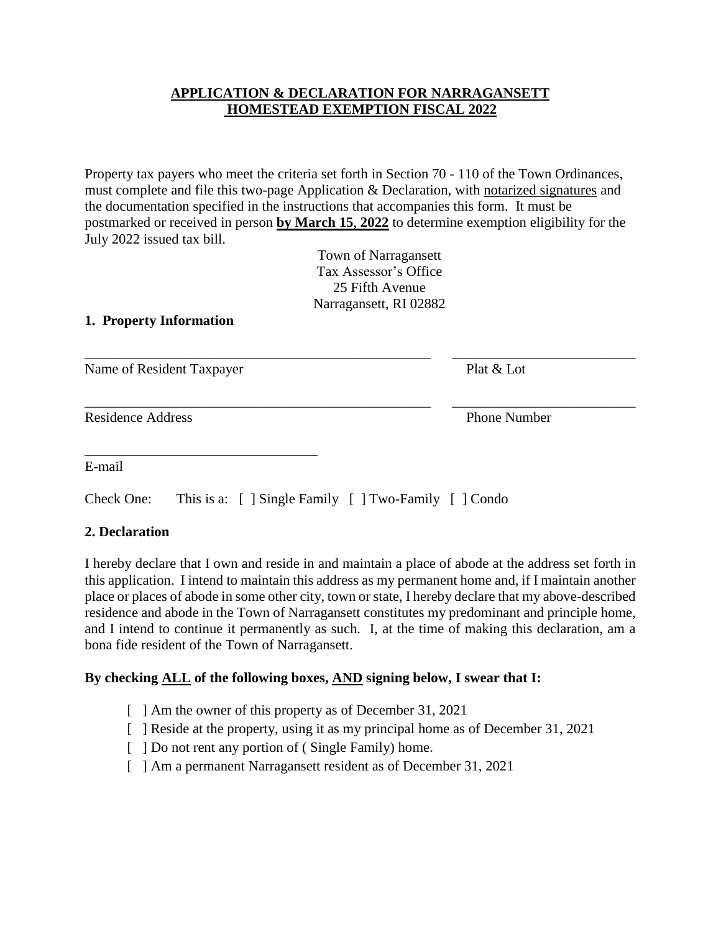#### **APPLICATION & DECLARATION FOR NARRAGANSETT HOMESTEAD EXEMPTION FISCAL 2022**

Property tax payers who meet the criteria set forth in Section 70 - 110 of the Town Ordinances, must complete and file this two-page Application & Declaration, with notarized signatures and the documentation specified in the instructions that accompanies this form. It must be postmarked or received in person **by March 15**, **2022** to determine exemption eligibility for the July 2022 issued tax bill.

\_\_\_\_\_\_\_\_\_\_\_\_\_\_\_\_\_\_\_\_\_\_\_\_\_\_\_\_\_\_\_\_\_\_\_\_\_\_\_\_\_\_\_\_\_\_\_\_\_ \_\_\_\_\_\_\_\_\_\_\_\_\_\_\_\_\_\_\_\_\_\_\_\_\_\_

Town of Narragansett Tax Assessor's Office 25 Fifth Avenue Narragansett, RI 02882

#### **1. Property Information**

Name of Resident Taxpayer Plat & Lot

\_\_\_\_\_\_\_\_\_\_\_\_\_\_\_\_\_\_\_\_\_\_\_\_\_\_\_\_\_\_\_\_\_

Residence Address **Phone Number** 

\_\_\_\_\_\_\_\_\_\_\_\_\_\_\_\_\_\_\_\_\_\_\_\_\_\_\_\_\_\_\_\_\_\_\_\_\_\_\_\_\_\_\_\_\_\_\_\_\_ \_\_\_\_\_\_\_\_\_\_\_\_\_\_\_\_\_\_\_\_\_\_\_\_\_\_

E-mail

Check One: This is a: [ ] Single Family [ ] Two-Family [ ] Condo

# **2. Declaration**

I hereby declare that I own and reside in and maintain a place of abode at the address set forth in this application. I intend to maintain this address as my permanent home and, if I maintain another place or places of abode in some other city, town or state, I hereby declare that my above-described residence and abode in the Town of Narragansett constitutes my predominant and principle home, and I intend to continue it permanently as such. I, at the time of making this declaration, am a bona fide resident of the Town of Narragansett.

# **By checking ALL of the following boxes, AND signing below, I swear that I:**

- [ ] Am the owner of this property as of December 31, 2021
- [ ] Reside at the property, using it as my principal home as of December 31, 2021
- [ ] Do not rent any portion of (Single Family) home.
- [ ] Am a permanent Narragansett resident as of December 31, 2021